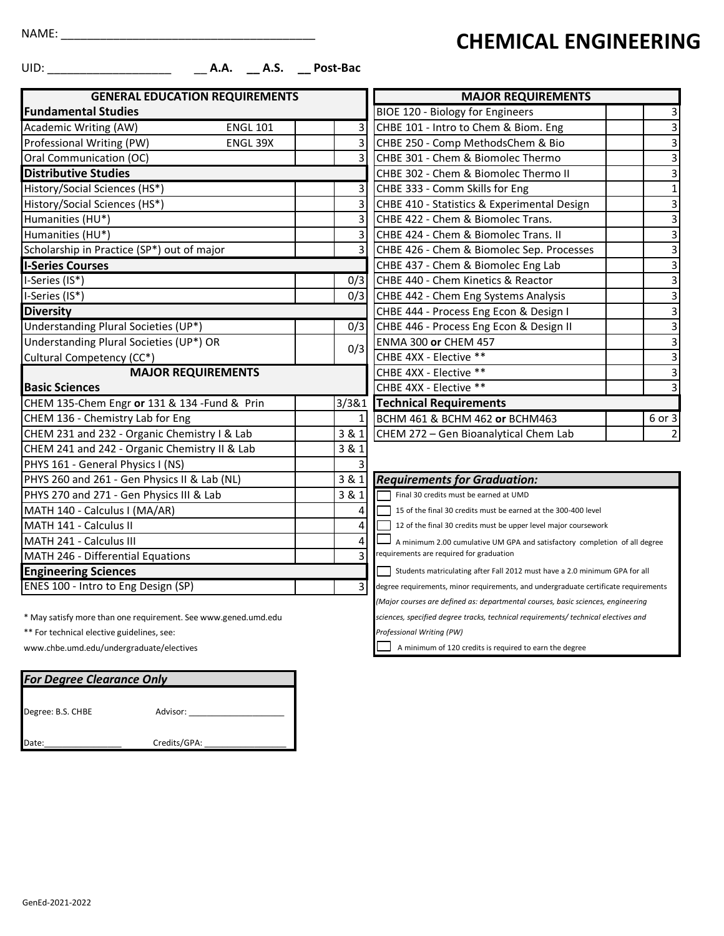UID: \_\_\_\_\_\_\_\_\_\_\_\_\_\_\_\_\_\_\_ \_\_ **A.A. \_\_ A.S. \_\_ Post-Bac**

| <b>GENERAL EDUCATION REQUIREMENTS</b>         |                         | <b>MAJOR REQUIREMENTS</b>                                                           |                         |  |  |
|-----------------------------------------------|-------------------------|-------------------------------------------------------------------------------------|-------------------------|--|--|
| <b>Fundamental Studies</b>                    |                         | BIOE 120 - Biology for Engineers                                                    | 3                       |  |  |
| <b>ENGL 101</b><br>Academic Writing (AW)      | 3                       | CHBE 101 - Intro to Chem & Biom. Eng                                                | 3                       |  |  |
| Professional Writing (PW)<br>ENGL 39X         | 3                       | CHBE 250 - Comp MethodsChem & Bio                                                   | 3                       |  |  |
| Oral Communication (OC)                       | $\overline{3}$          | CHBE 301 - Chem & Biomolec Thermo                                                   |                         |  |  |
| <b>Distributive Studies</b>                   |                         | CHBE 302 - Chem & Biomolec Thermo II                                                | 3                       |  |  |
| History/Social Sciences (HS*)                 | 3                       | CHBE 333 - Comm Skills for Eng                                                      | $\mathbf{1}$            |  |  |
| History/Social Sciences (HS*)                 | 3                       | CHBE 410 - Statistics & Experimental Design                                         | 3                       |  |  |
| Humanities (HU*)                              | 3                       | CHBE 422 - Chem & Biomolec Trans.                                                   | 3                       |  |  |
| Humanities (HU*)                              | 3                       | CHBE 424 - Chem & Biomolec Trans. II                                                | 3                       |  |  |
| Scholarship in Practice (SP*) out of major    | 3                       | CHBE 426 - Chem & Biomolec Sep. Processes                                           | 3                       |  |  |
| <b>I-Series Courses</b>                       |                         | CHBE 437 - Chem & Biomolec Eng Lab                                                  | $\overline{\mathbf{3}}$ |  |  |
| I-Series (IS*)                                | 0/3                     | CHBE 440 - Chem Kinetics & Reactor                                                  | 3                       |  |  |
| I-Series (IS*)                                | 0/3                     | CHBE 442 - Chem Eng Systems Analysis                                                | 3                       |  |  |
| <b>Diversity</b>                              |                         | CHBE 444 - Process Eng Econ & Design I                                              | 3                       |  |  |
| Understanding Plural Societies (UP*)          | 0/3                     | CHBE 446 - Process Eng Econ & Design II                                             | $\overline{3}$          |  |  |
| Understanding Plural Societies (UP*) OR       |                         | <b>ENMA 300 or CHEM 457</b>                                                         | $\overline{3}$          |  |  |
| Cultural Competency (CC*)                     | 0/3                     | CHBE 4XX - Elective **                                                              | 3                       |  |  |
| <b>MAJOR REQUIREMENTS</b>                     |                         | CHBE 4XX - Elective **                                                              | $\overline{3}$          |  |  |
| <b>Basic Sciences</b>                         |                         | CHBE 4XX - Elective **                                                              | $\overline{3}$          |  |  |
| CHEM 135-Chem Engr or 131 & 134 - Fund & Prin | 3/3&1                   | <b>Technical Requirements</b>                                                       |                         |  |  |
| CHEM 136 - Chemistry Lab for Eng              | 1                       | BCHM 461 & BCHM 462 or BCHM463                                                      | 6 or 3                  |  |  |
| CHEM 231 and 232 - Organic Chemistry I & Lab  | 3 & 1                   | CHEM 272 - Gen Bioanalytical Chem Lab                                               | $\overline{2}$          |  |  |
| CHEM 241 and 242 - Organic Chemistry II & Lab | 3 & 1                   |                                                                                     |                         |  |  |
| PHYS 161 - General Physics I (NS)             |                         |                                                                                     |                         |  |  |
| PHYS 260 and 261 - Gen Physics II & Lab (NL)  | 3 & 1                   | <b>Requirements for Graduation:</b>                                                 |                         |  |  |
| PHYS 270 and 271 - Gen Physics III & Lab      | 3 & 1                   | Final 30 credits must be earned at UMD                                              |                         |  |  |
| MATH 140 - Calculus I (MA/AR)                 | 4                       | 15 of the final 30 credits must be earned at the 300-400 level                      |                         |  |  |
| MATH 141 - Calculus II                        | 4                       | 12 of the final 30 credits must be upper level major coursework                     |                         |  |  |
| MATH 241 - Calculus III                       | 4                       | A minimum 2.00 cumulative UM GPA and satisfactory completion of all degree          |                         |  |  |
| MATH 246 - Differential Equations             | 3                       | requirements are required for graduation                                            |                         |  |  |
| <b>Engineering Sciences</b>                   |                         | Students matriculating after Fall 2012 must have a 2.0 minimum GPA for all          |                         |  |  |
| ENES 100 - Intro to Eng Design (SP)           | $\overline{\mathsf{3}}$ | degree requirements, minor requirements, and undergraduate certificate requirements |                         |  |  |

| <b>MAJOR REQUIREMENTS</b>                   |                           |
|---------------------------------------------|---------------------------|
| BIOE 120 - Biology for Engineers            | 3                         |
| CHBE 101 - Intro to Chem & Biom. Eng        | $\overline{3}$            |
| CHBE 250 - Comp MethodsChem & Bio           |                           |
| CHBE 301 - Chem & Biomolec Thermo           | $\overline{\overline{3}}$ |
| CHBE 302 - Chem & Biomolec Thermo II        |                           |
| CHBE 333 - Comm Skills for Eng              | $\overline{1}$            |
| CHBE 410 - Statistics & Experimental Design | $\overline{3}$            |
| CHBE 422 - Chem & Biomolec Trans.           | $\overline{\mathbf{3}}$   |
| CHBE 424 - Chem & Biomolec Trans. II        | $\overline{3}$            |
| CHBE 426 - Chem & Biomolec Sep. Processes   |                           |
| CHBE 437 - Chem & Biomolec Eng Lab          | $\overline{\mathbf{3}}$   |
| CHBE 440 - Chem Kinetics & Reactor          |                           |
| CHBE 442 - Chem Eng Systems Analysis        |                           |
| CHBE 444 - Process Eng Econ & Design I      | $\overline{3}$            |
| CHBE 446 - Process Eng Econ & Design II     | $\overline{3}$            |
| ENMA 300 or CHEM 457                        | $\overline{\mathbf{3}}$   |
| CHBE 4XX - Elective **                      | $\overline{3}$            |
| CHBE 4XX - Elective **                      |                           |
| CHBE 4XX - Elective **                      | $\overline{3}$            |
| <b>Technical Requirements</b>               |                           |
| BCHM 461 & BCHM 462 or BCHM463              | 6 or 3                    |
| CHEM 272 - Gen Bioanalytical Chem Lab       | 2                         |

**CHEMICAL ENGINEERING**

*(Major courses are defined as: departmental courses, basic sciences, engineering*

*sciences, specified degree tracks, technical requirements/ technical electives and* 

*Professional Writing (PW)*

A minimum of 120 credits is required to earn the degree

\* May satisfy more than one requirement. See www.gened.umd.edu

\*\* For technical elective guidelines, see:

[www.chbe.umd.edu/undergraduate/electives](http://www.chbe.umd.edu/undergraduate/electives)

| <b>For Degree Clearance Only</b> |              |  |  |  |  |  |
|----------------------------------|--------------|--|--|--|--|--|
| Degree: B.S. CHBE                | Advisor:     |  |  |  |  |  |
|                                  |              |  |  |  |  |  |
| Date:                            | Credits/GPA: |  |  |  |  |  |